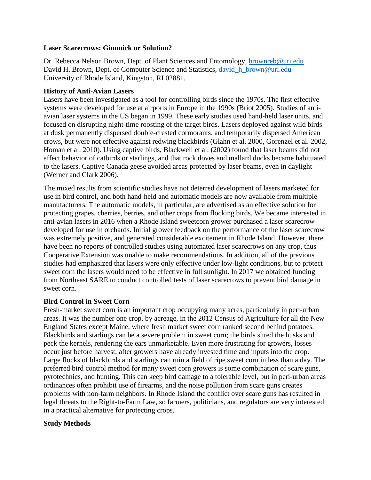## **Laser Scarecrows: Gimmick or Solution?**

Dr. Rebecca Nelson Brown, Dept. of Plant Sciences and Entomology, [brownreb@uri.edu](mailto:brownreb@uri.edu) David H. Brown, Dept. of Computer Science and Statistics, david h brown@uri.edu University of Rhode Island, Kingston, RI 02881.

## **History of Anti-Avian Lasers**

Lasers have been investigated as a tool for controlling birds since the 1970s. The first effective systems were developed for use at airports in Europe in the 1990s (Briot 2005). Studies of antiavian laser systems in the US began in 1999. These early studies used hand-held laser units, and focused on disrupting night-time roosting of the target birds. Lasers deployed against wild birds at dusk permanently dispersed double-crested cormorants, and temporarily dispersed American crows, but were not effective against redwing blackbirds (Glahn et al. 2000, Gorenzel et al. 2002, Homan et al. 2010). Using captive birds, Blackwell et al. (2002) found that laser beams did not affect behavior of catbirds or starlings, and that rock doves and mallard ducks became habituated to the lasers. Captive Canada geese avoided areas protected by laser beams, even in daylight (Werner and Clark 2006).

The mixed results from scientific studies have not deterred development of lasers marketed for use in bird control, and both hand-held and automatic models are now available from multiple manufacturers. The automatic models, in particular, are advertised as an effective solution for protecting grapes, cherries, berries, and other crops from flocking birds. We became interested in anti-avian lasers in 2016 when a Rhode Island sweetcorn grower purchased a laser scarecrow developed for use in orchards. Initial grower feedback on the performance of the laser scarecrow was extremely positive, and generated considerable excitement in Rhode Island. However, there have been no reports of controlled studies using automated laser scarecrows on any crop, thus Cooperative Extension was unable to make recommendations. In addition, all of the previous studies had emphasized that lasers were only effective under low-light conditions, but to protect sweet corn the lasers would need to be effective in full sunlight. In 2017 we obtained funding from Northeast SARE to conduct controlled tests of laser scarecrows to prevent bird damage in sweet corn.

# **Bird Control in Sweet Corn**

Fresh-market sweet corn is an important crop occupying many acres, particularly in peri-urban areas. It was the number one crop, by acreage, in the 2012 Census of Agriculture for all the New England States except Maine, where fresh market sweet corn ranked second behind potatoes. Blackbirds and starlings can be a severe problem in sweet corn; the birds shred the husks and peck the kernels, rendering the ears unmarketable. Even more frustrating for growers, losses occur just before harvest, after growers have already invested time and inputs into the crop. Large flocks of blackbirds and starlings can ruin a field of ripe sweet corn in less than a day. The preferred bird control method for many sweet corn growers is some combination of scare guns, pyrotechnics, and hunting. This can keep bird damage to a tolerable level, but in peri-urban areas ordinances often prohibit use of firearms, and the noise pollution from scare guns creates problems with non-farm neighbors. In Rhode Island the conflict over scare guns has resulted in legal threats to the Right-to-Farm Law, so farmers, politicians, and regulators are very interested in a practical alternative for protecting crops.

# **Study Methods**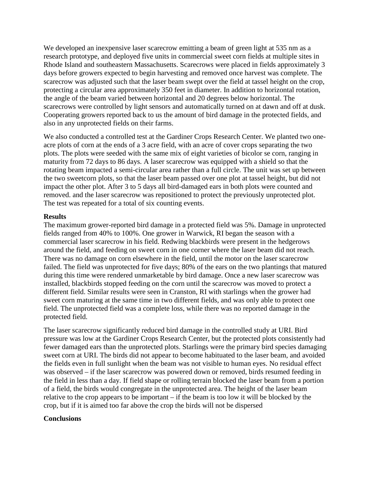We developed an inexpensive laser scarecrow emitting a beam of green light at 535 nm as a research prototype, and deployed five units in commercial sweet corn fields at multiple sites in Rhode Island and southeastern Massachusetts. Scarecrows were placed in fields approximately 3 days before growers expected to begin harvesting and removed once harvest was complete. The scarecrow was adjusted such that the laser beam swept over the field at tassel height on the crop, protecting a circular area approximately 350 feet in diameter. In addition to horizontal rotation, the angle of the beam varied between horizontal and 20 degrees below horizontal. The scarecrows were controlled by light sensors and automatically turned on at dawn and off at dusk. Cooperating growers reported back to us the amount of bird damage in the protected fields, and also in any unprotected fields on their farms.

We also conducted a controlled test at the Gardiner Crops Research Center. We planted two oneacre plots of corn at the ends of a 3 acre field, with an acre of cover crops separating the two plots. The plots were seeded with the same mix of eight varieties of bicolor se corn, ranging in maturity from 72 days to 86 days. A laser scarecrow was equipped with a shield so that the rotating beam impacted a semi-circular area rather than a full circle. The unit was set up between the two sweetcorn plots, so that the laser beam passed over one plot at tassel height, but did not impact the other plot. After 3 to 5 days all bird-damaged ears in both plots were counted and removed. and the laser scarecrow was repositioned to protect the previously unprotected plot. The test was repeated for a total of six counting events.

#### **Results**

The maximum grower-reported bird damage in a protected field was 5%. Damage in unprotected fields ranged from 40% to 100%. One grower in Warwick, RI began the season with a commercial laser scarecrow in his field. Redwing blackbirds were present in the hedgerows around the field, and feeding on sweet corn in one corner where the laser beam did not reach. There was no damage on corn elsewhere in the field, until the motor on the laser scarecrow failed. The field was unprotected for five days; 80% of the ears on the two plantings that matured during this time were rendered unmarketable by bird damage. Once a new laser scarecrow was installed, blackbirds stopped feeding on the corn until the scarecrow was moved to protect a different field. Similar results were seen in Cranston, RI with starlings when the grower had sweet corn maturing at the same time in two different fields, and was only able to protect one field. The unprotected field was a complete loss, while there was no reported damage in the protected field.

The laser scarecrow significantly reduced bird damage in the controlled study at URI. Bird pressure was low at the Gardiner Crops Research Center, but the protected plots consistently had fewer damaged ears than the unprotected plots. Starlings were the primary bird species damaging sweet corn at URI. The birds did not appear to become habituated to the laser beam, and avoided the fields even in full sunlight when the beam was not visible to human eyes. No residual effect was observed – if the laser scarecrow was powered down or removed, birds resumed feeding in the field in less than a day. If field shape or rolling terrain blocked the laser beam from a portion of a field, the birds would congregate in the unprotected area. The height of the laser beam relative to the crop appears to be important – if the beam is too low it will be blocked by the crop, but if it is aimed too far above the crop the birds will not be dispersed

## **Conclusions**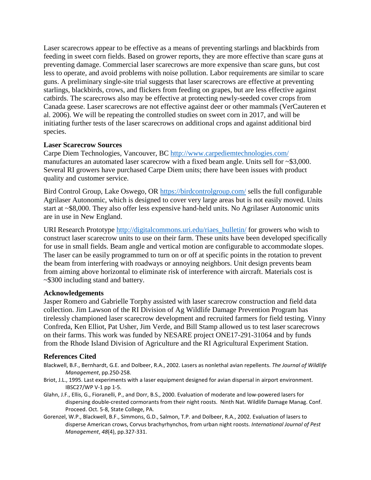Laser scarecrows appear to be effective as a means of preventing starlings and blackbirds from feeding in sweet corn fields. Based on grower reports, they are more effective than scare guns at preventing damage. Commercial laser scarecrows are more expensive than scare guns, but cost less to operate, and avoid problems with noise pollution. Labor requirements are similar to scare guns. A preliminary single-site trial suggests that laser scarecrows are effective at preventing starlings, blackbirds, crows, and flickers from feeding on grapes, but are less effective against catbirds. The scarecrows also may be effective at protecting newly-seeded cover crops from Canada geese. Laser scarecrows are not effective against deer or other mammals (VerCauteren et al. 2006). We will be repeating the controlled studies on sweet corn in 2017, and will be initiating further tests of the laser scarecrows on additional crops and against additional bird species.

## **Laser Scarecrow Sources**

Carpe Diem Technologies, Vancouver, BC<http://www.carpediemtechnologies.com/> manufactures an automated laser scarecrow with a fixed beam angle. Units sell for ~\$3,000. Several RI growers have purchased Carpe Diem units; there have been issues with product quality and customer service.

Bird Control Group, Lake Oswego, OR<https://birdcontrolgroup.com/> sells the full configurable Agrilaser Autonomic, which is designed to cover very large areas but is not easily moved. Units start at ~\$8,000. They also offer less expensive hand-held units. No Agrilaser Autonomic units are in use in New England.

URI Research Prototype [http://digitalcommons.uri.edu/riaes\\_bulletin/](http://digitalcommons.uri.edu/riaes_bulletin/) for growers who wish to construct laser scarecrow units to use on their farm. These units have been developed specifically for use in small fields. Beam angle and vertical motion are configurable to accommodate slopes. The laser can be easily programmed to turn on or off at specific points in the rotation to prevent the beam from interfering with roadways or annoying neighbors. Unit design prevents beam from aiming above horizontal to eliminate risk of interference with aircraft. Materials cost is ~\$300 including stand and battery.

#### **Acknowledgements**

Jasper Romero and Gabrielle Torphy assisted with laser scarecrow construction and field data collection. Jim Lawson of the RI Division of Ag Wildlife Damage Prevention Program has tirelessly championed laser scarecrow development and recruited farmers for field testing. Vinny Confreda, Ken Elliot, Pat Usher, Jim Verde, and Bill Stamp allowed us to test laser scarecrows on their farms. This work was funded by NESARE project ONE17-291-31064 and by funds from the Rhode Island Division of Agriculture and the RI Agricultural Experiment Station.

## **References Cited**

- Blackwell, B.F., Bernhardt, G.E. and Dolbeer, R.A., 2002. Lasers as nonlethal avian repellents. *The Journal of Wildlife Management*, pp.250-258.
- Briot, J.L., 1995. Last experiments with a laser equipment designed for avian dispersal in airport environment. IBSC27/WP V-1 pp 1-5.
- Glahn, J.F., Ellis, G., Fioranelli, P., and Dorr, B.S., 2000. Evaluation of moderate and low-powered lasers for dispersing double-crested cormorants from their night roosts. Ninth Nat. Wildlife Damage Manag. Conf. Proceed. Oct. 5-8, State College, PA.
- Gorenzel, W.P., Blackwell, B.F., Simmons, G.D., Salmon, T.P. and Dolbeer, R.A., 2002. Evaluation of lasers to disperse American crows, Corvus brachyrhynchos, from urban night roosts. *International Journal of Pest Management*, *48*(4), pp.327-331.